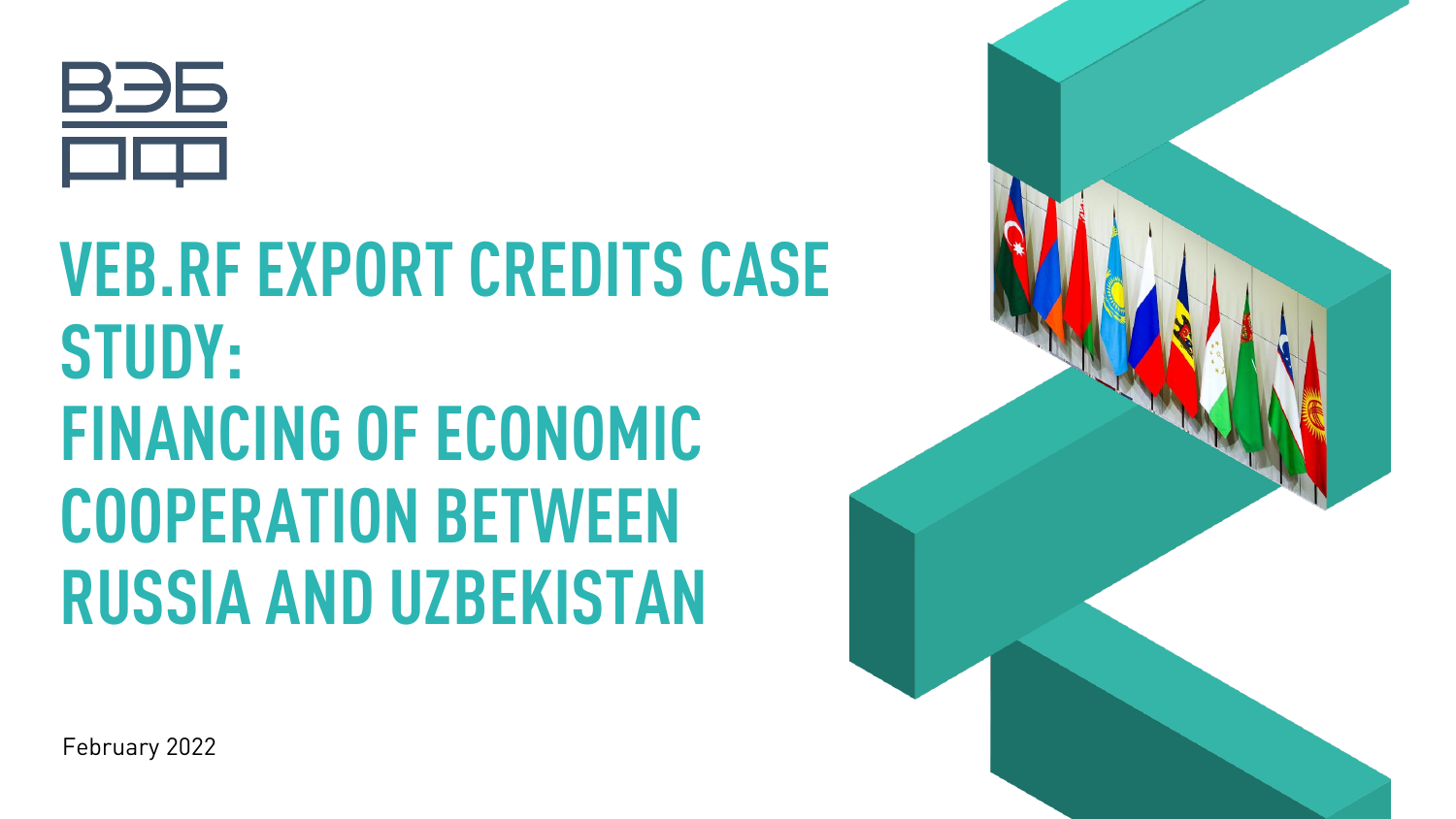

# **VEB.RF EXPORT CREDITS CASE STUDY: FINANCING OF ECONOMIC COOPERATION BETWEEN RUSSIA AND UZBEKISTAN**



February 2022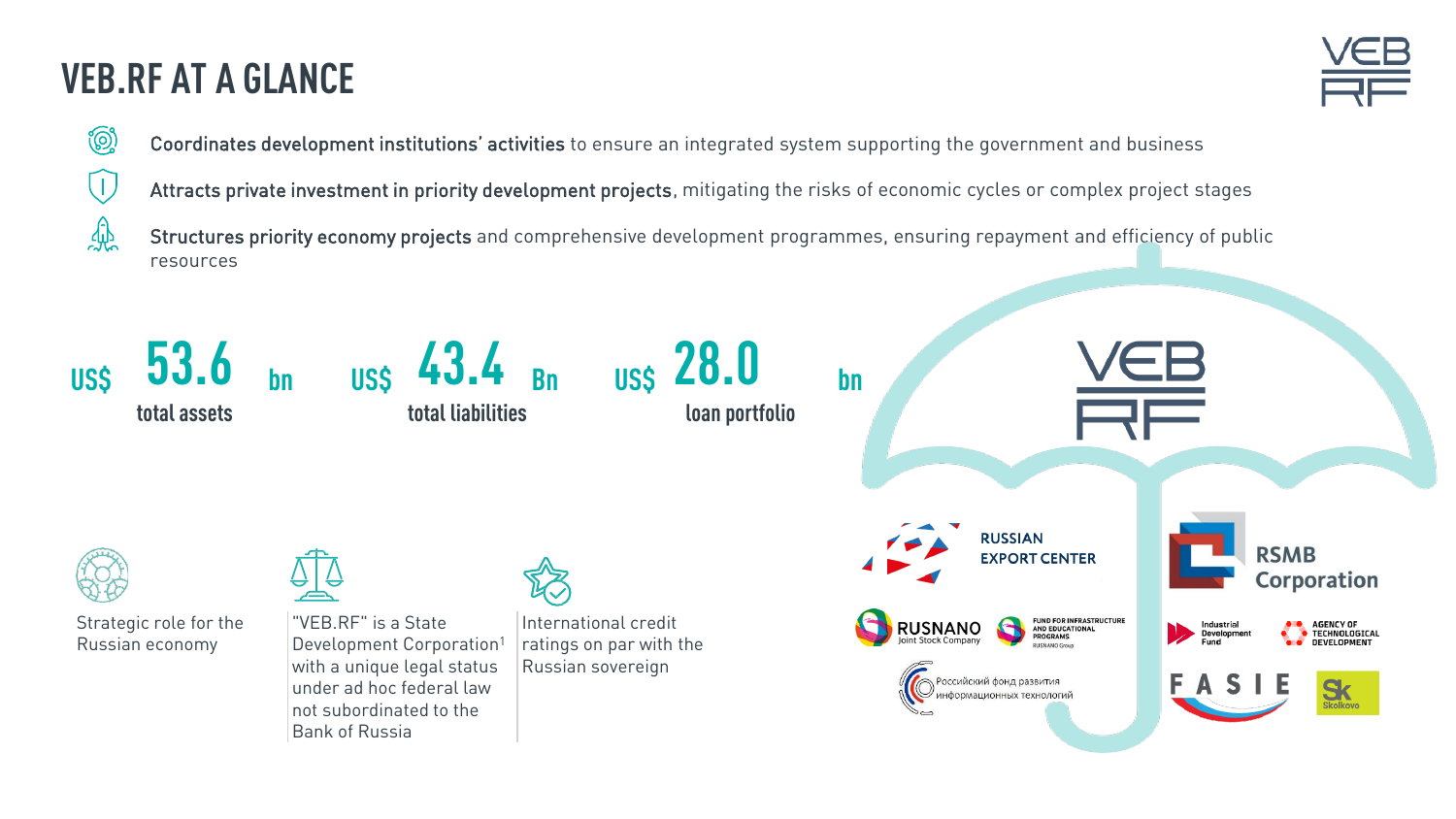### **VEB.RF AT A GLANCE**

**O** 

惢



Coordinates development institutions' activities to ensure an integrated system supporting the government and business

Attracts private investment in priority development projects, mitigating the risks of economic cycles or complex project stages

Structures priority economy projects and comprehensive development programmes, ensuring repayment and efficiency of public resources

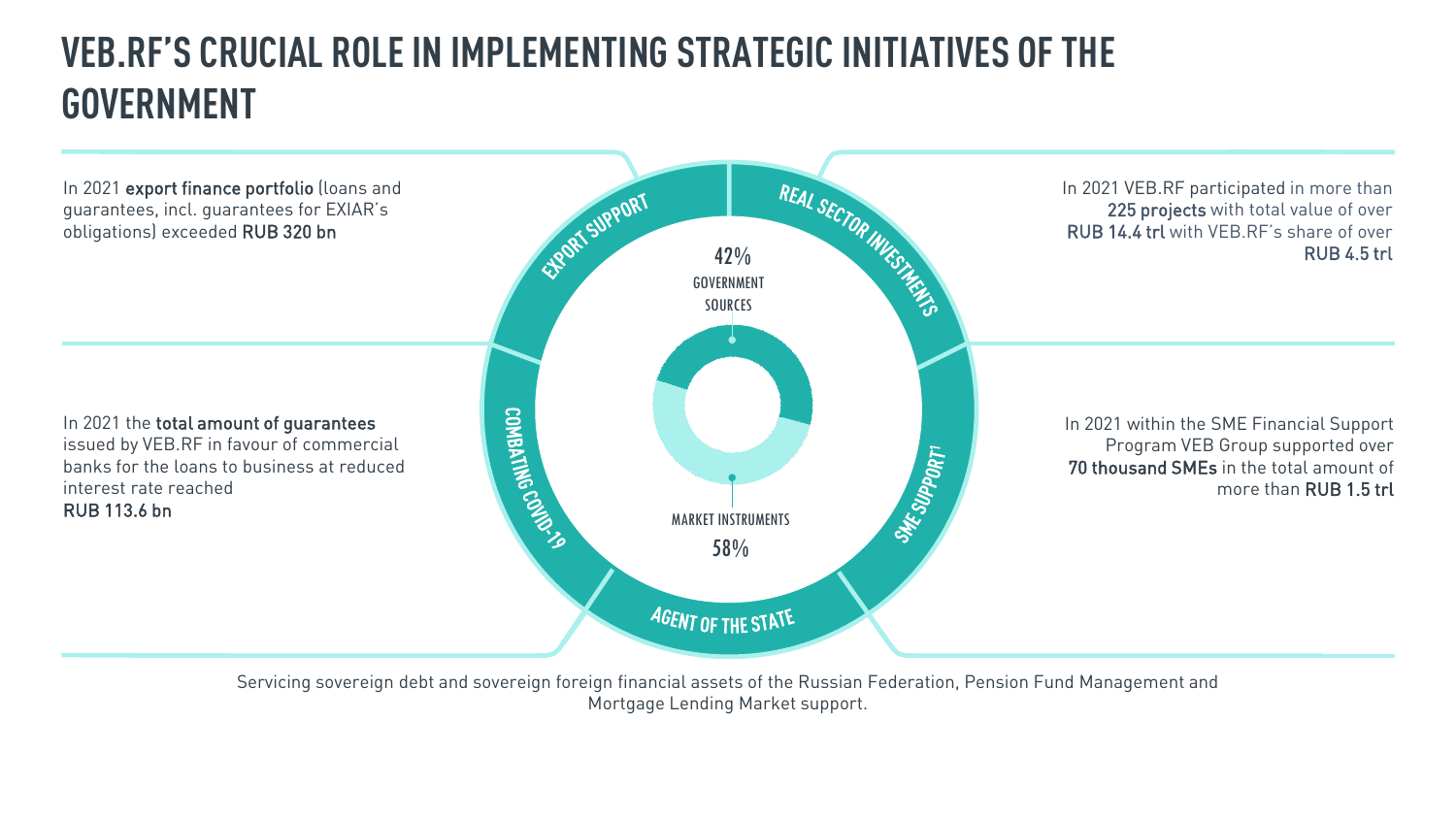### **VEB.RF'S CRUCIAL ROLE IN IMPLEMENTING STRATEGIC INITIATIVES OF THE GOVERNMENT**



Servicing sovereign debt and sovereign foreign financial assets of the Russian Federation, Pension Fund Management and Mortgage Lending Market support.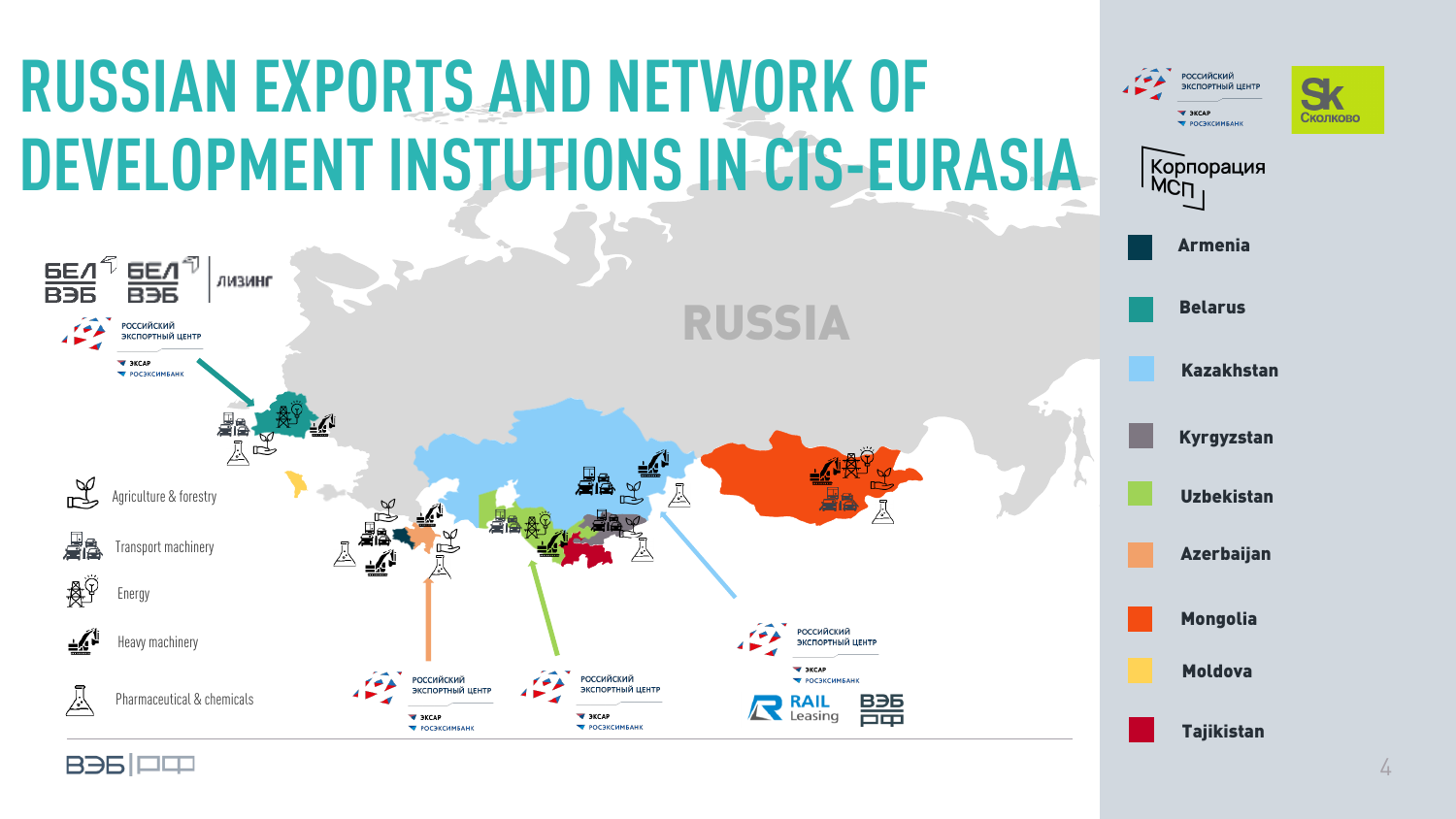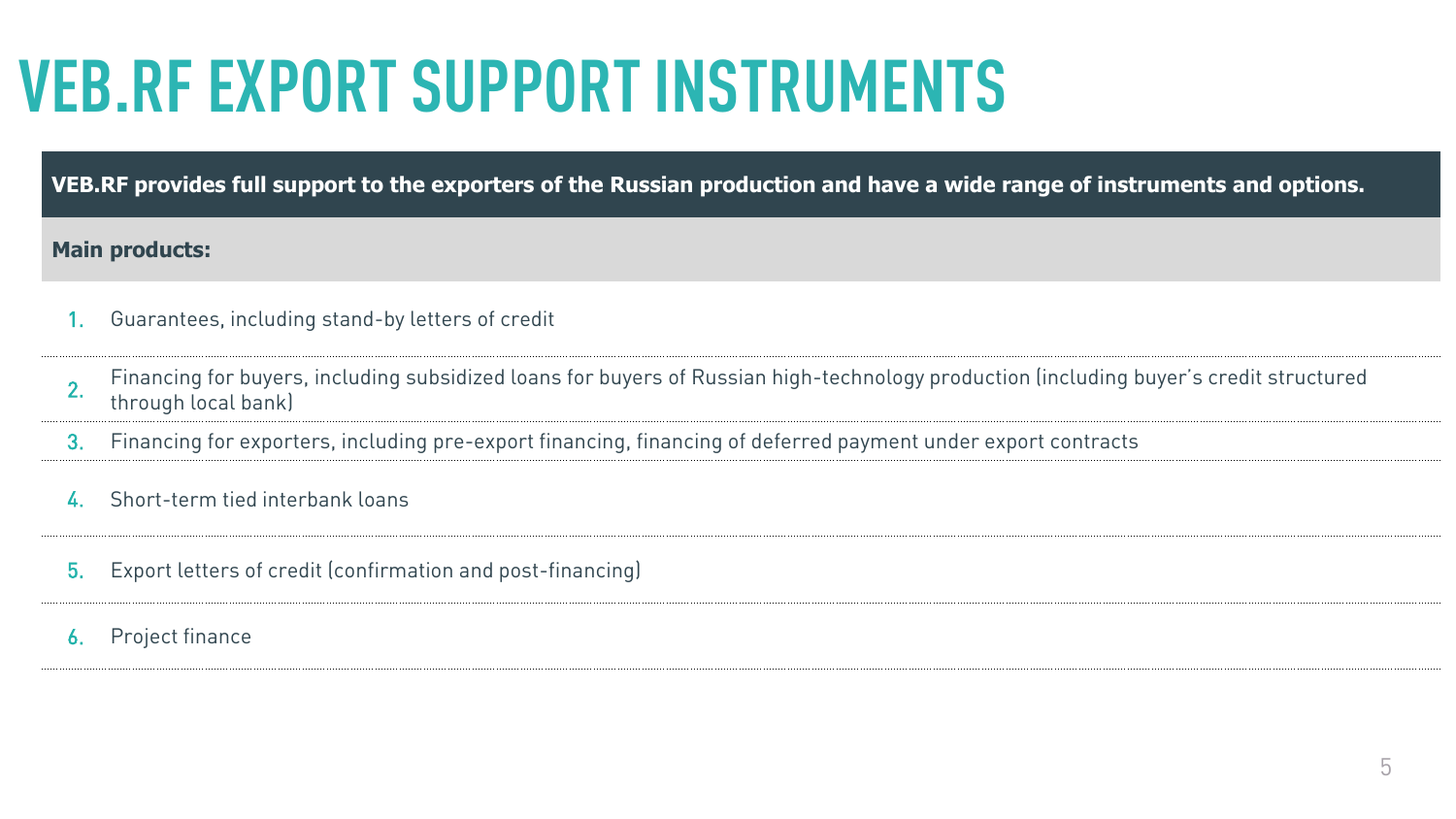# **VEB.RF EXPORT SUPPORT INSTRUMENTS**

**VEB.RF provides full support to the exporters of the Russian production and have a wide range of instruments and options.**

#### **Main products:**

- 1. Guarantees, including stand-by letters of credit
- 2. Financing for buyers, including subsidized loans for buyers of Russian high-technology production (including buyer's credit structured through local bank)
- 3. Financing for exporters, including pre-export financing, financing of deferred payment under export contracts
- 4. Short-term tied interbank loans
- 5. Export letters of credit (confirmation and post-financing)
- 6. Project finance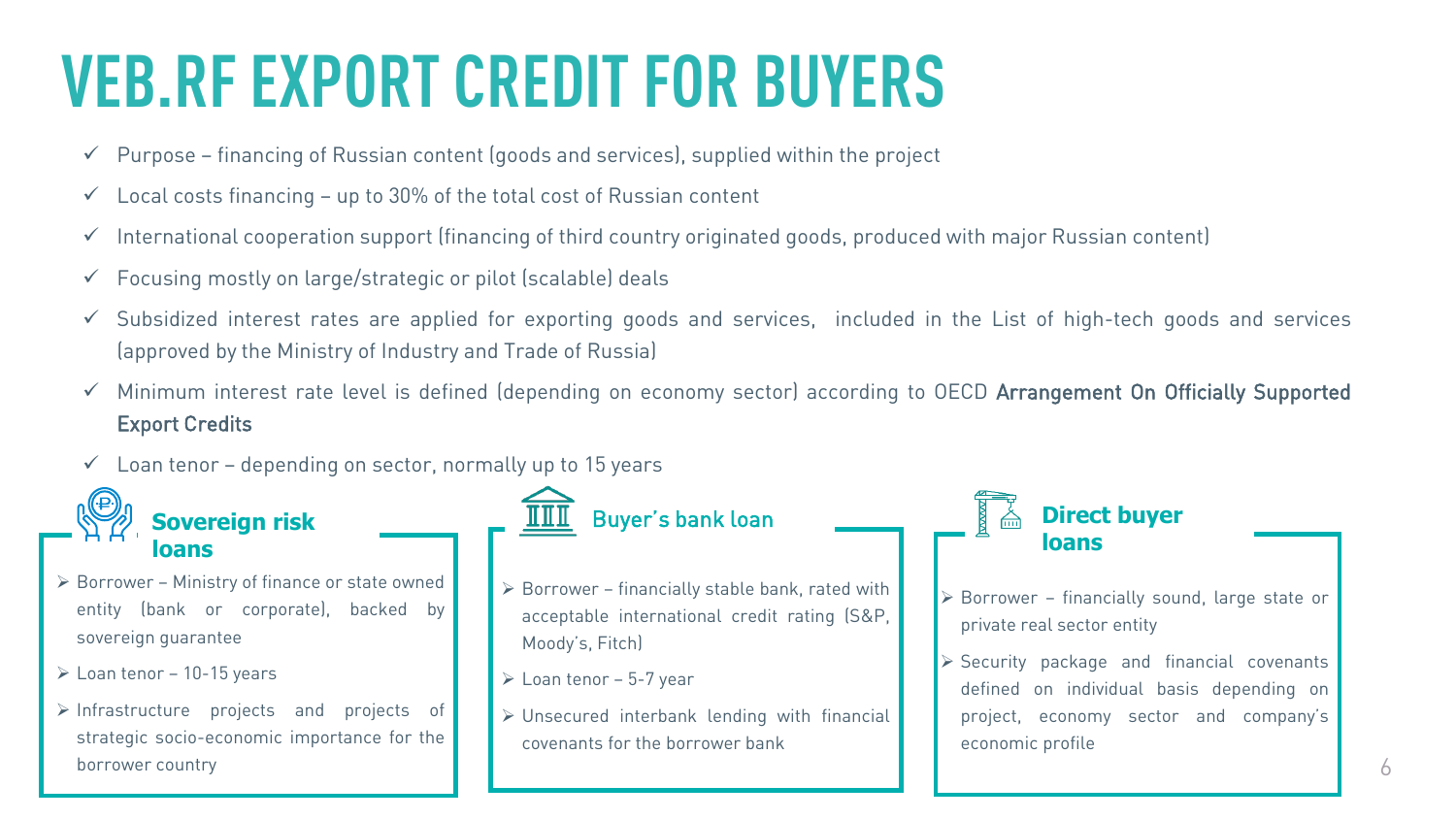## **VEB.RF EXPORT CREDIT FOR BUYERS**

- $\checkmark$  Purpose financing of Russian content (goods and services), supplied within the project
- $\checkmark$  Local costs financing up to 30% of the total cost of Russian content
- $\checkmark$  International cooperation support (financing of third country originated goods, produced with major Russian content)
- $\checkmark$  Focusing mostly on large/strategic or pilot (scalable) deals
- $\checkmark$  Subsidized interest rates are applied for exporting goods and services, included in the List of high-tech goods and services (approved by the Ministry of Industry and Trade of Russia)
- $\checkmark$  Minimum interest rate level is defined (depending on economy sector) according to OECD Arrangement On Officially Supported Export Credits
- $\checkmark$  Loan tenor depending on sector, normally up to 15 years



**Sovereign risk** 

- $\triangleright$  Borrower Ministry of finance or state owned entity (bank or corporate), backed by sovereign guarantee
- ё Loan tenor 10-15 years

**loans**

 $\triangleright$  Infrastructure projects and projects of strategic socio-economic importance for the borrower country

- Buyer's bank loan
- $\triangleright$  Borrower financially stable bank, rated with acceptable international credit rating (S&P, Moody's, Fitch)
- Moody's, FitchJ<br>Dan tenor 5-7 year (
- Unsecured interbank lending with financial covenants for the borrower bank

**Direct buyer loans**

- Borrower financially sound, large state or private real sector entity
- Security package and financial covenants<br>defined on individual basis denending on defined on individual basis depending on project, economy sector and company's economic profile